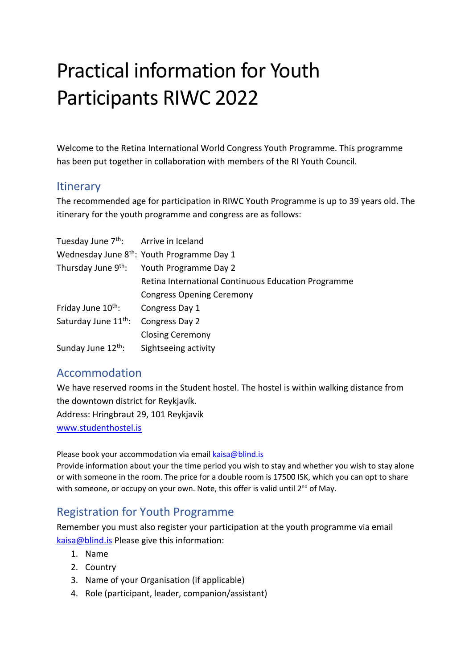# Practical information for Youth Participants RIWC 2022

Welcome to the Retina International World Congress Youth Programme. This programme has been put together in collaboration with members of the RI Youth Council.

#### **Itinerary**

The recommended age for participation in RIWC Youth Programme is up to 39 years old. The itinerary for the youth programme and congress are as follows:

| Tuesday June 7 <sup>th</sup> : Arrive in Iceland |                                                        |
|--------------------------------------------------|--------------------------------------------------------|
|                                                  | Wednesday June 8 <sup>th</sup> : Youth Programme Day 1 |
|                                                  | Thursday June 9 <sup>th</sup> : Youth Programme Day 2  |
|                                                  | Retina International Continuous Education Programme    |
|                                                  | <b>Congress Opening Ceremony</b>                       |
| Friday June 10 <sup>th</sup> :                   | Congress Day 1                                         |
| Saturday June 11 <sup>th</sup> :                 | Congress Day 2                                         |
|                                                  | <b>Closing Ceremony</b>                                |
| Sunday June 12 <sup>th</sup> :                   | Sightseeing activity                                   |

# Accommodation

We have reserved rooms in the Student hostel. The hostel is within walking distance from the downtown district for Reykjavík.

Address: Hringbraut 29, 101 Reykjavík

www.studenthostel.is

Please book your accommodation via email kaisa@blind.is

Provide information about your the time period you wish to stay and whether you wish to stay alone or with someone in the room. The price for a double room is 17500 ISK, which you can opt to share with someone, or occupy on your own. Note, this offer is valid until  $2^{nd}$  of May.

## Registration for Youth Programme

Remember you must also register your participation at the youth programme via email kaisa@blind.is Please give this information:

- 1. Name
- 2. Country
- 3. Name of your Organisation (if applicable)
- 4. Role (participant, leader, companion/assistant)